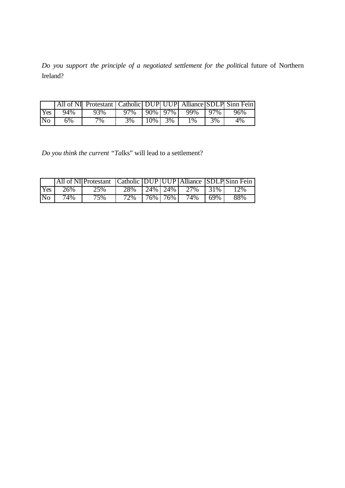*Do you support the principle of a negotiated settlement for the politi*cal future of Northern Ireland?

|                |     | All of NI Protestant   Catholic   DUP UUP   Alliance   SDLP   Sinn Fein |     |     |         |       |     |     |
|----------------|-----|-------------------------------------------------------------------------|-----|-----|---------|-------|-----|-----|
| Yes            | 94% | 93%                                                                     | 97% |     | 90% 97% | 99%   | 97% | 96% |
| N <sub>o</sub> | 6%  | 7%                                                                      | 3%  | 10% | 3%      | $1\%$ | 3%  | 4%  |

*Do you think the current "Ta*lks" will lead to a settlement?

|                |     | All of NI Protestant Catholic DUP UUP Alliance SDLP Sinn Fein |     |              |         |     |      |       |
|----------------|-----|---------------------------------------------------------------|-----|--------------|---------|-----|------|-------|
| Yes            | 26% | 25%                                                           | 28% | $24\%$   24% |         | 27% | 131% | $2\%$ |
| N <sub>o</sub> | 74% | 75%                                                           | 72% |              | 76% 76% | 74% | 69%  | 88%   |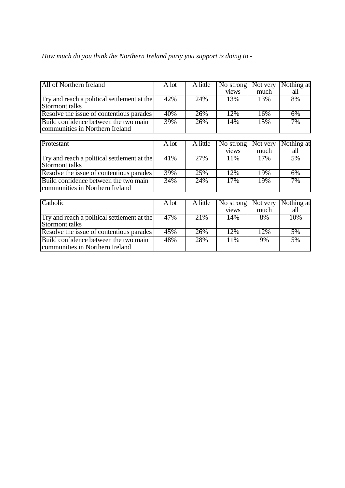|  |  |  | How much do you think the Northern Ireland party you support is doing to - |
|--|--|--|----------------------------------------------------------------------------|
|  |  |  |                                                                            |

| All of Northern Ireland                                                  | A lot | A little | No strong | Not very | Nothing at |
|--------------------------------------------------------------------------|-------|----------|-----------|----------|------------|
|                                                                          |       |          | views     | much     | all        |
| Try and reach a political settlement at the                              | 42%   | 24%      | 13%       | 13%      | 8%         |
| Stormont talks                                                           |       |          |           |          |            |
| Resolve the issue of contentious parades                                 | 40%   | 26%      | 12%       | 16%      | 6%         |
| Build confidence between the two main<br>communities in Northern Ireland | 39%   | 26%      | 14%       | 15%      | 7%         |
|                                                                          |       |          |           |          |            |
| Protestant                                                               | A lot | A little | No strong | Not very | Nothing at |
|                                                                          |       |          | views     | much     | all        |
| Try and reach a political settlement at the<br>Stormont talks            | 41%   | 27%      | 11%       | 17%      | 5%         |
| Resolve the issue of contentious parades                                 | 39%   | 25%      | 12%       | 19%      | 6%         |
| Build confidence between the two main<br>communities in Northern Ireland | 34%   | 24%      | 17%       | 19%      | 7%         |
|                                                                          |       |          |           |          |            |
| Catholic                                                                 | A lot | A little | No strong | Not very | Nothing at |
|                                                                          |       |          | views     | much     | all        |
| Try and reach a political settlement at the                              | 47%   | 21%      | 14%       | 8%       | 10%        |
| <b>Stormont talks</b>                                                    |       |          |           |          |            |
| Resolve the issue of contentious parades                                 | 45%   | 26%      | 12%       | 12%      | 5%         |
| Build confidence between the two main<br>communities in Northern Ireland | 48%   | 28%      | 11%       | 9%       | 5%         |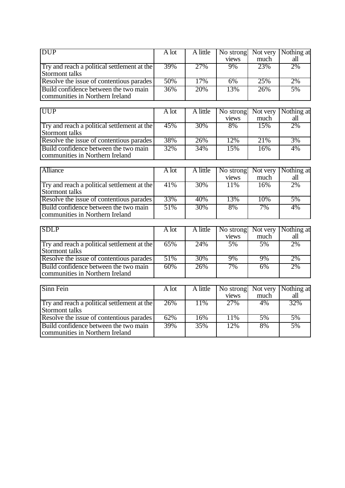| <b>DUP</b>                                                               | A lot | A little | No strong<br>views | Not very<br>much | Nothing at<br>all |
|--------------------------------------------------------------------------|-------|----------|--------------------|------------------|-------------------|
| Try and reach a political settlement at the<br>Stormont talks            | 39%   | 27%      | 9%                 | 23%              | 2%                |
| Resolve the issue of contentious parades                                 | 50%   | 17%      | 6%                 | 25%              | 2%                |
| Build confidence between the two main<br>communities in Northern Ireland | 36%   | 20%      | 13%                | 26%              | 5%                |
|                                                                          |       |          |                    |                  |                   |
| <b>UUP</b>                                                               | A lot | A little | No strong<br>views | Not very<br>much | Nothing at<br>all |
| Try and reach a political settlement at the<br>Stormont talks            | 45%   | 30%      | 8%                 | 15%              | 2%                |
| Resolve the issue of contentious parades                                 | 38%   | 26%      | 12%                | 21%              | 3%                |
| Build confidence between the two main<br>communities in Northern Ireland | 32%   | 34%      | 15%                | 16%              | 4%                |
|                                                                          |       |          |                    |                  |                   |
| Alliance                                                                 | A lot | A little | No strong<br>views | Not very<br>much | Nothing at<br>all |
| Try and reach a political settlement at the<br><b>Stormont talks</b>     | 41%   | 30%      | 11%                | 16%              | 2%                |
| Resolve the issue of contentious parades                                 | 33%   | 40%      | 13%                | 10%              | 5%                |
| Build confidence between the two main<br>communities in Northern Ireland | 51%   | 30%      | 8%                 | 7%               | 4%                |
|                                                                          |       |          |                    |                  |                   |
| <b>SDLP</b>                                                              | A lot | A little | No strong<br>views | Not very<br>much | Nothing at<br>all |
| Try and reach a political settlement at the<br><b>Stormont talks</b>     | 65%   | 24%      | 5%                 | 5%               | 2%                |
| Resolve the issue of contentious parades                                 | 51%   | 30%      | 9%                 | 9%               | 2%                |
| Build confidence between the two main<br>communities in Northern Ireland | 60%   | 26%      | 7%                 | 6%               | 2%                |
|                                                                          |       |          |                    |                  |                   |
| Sinn Fein                                                                | A lot | A little | No strong<br>views | Not very<br>much | Nothing at<br>all |
| Try and reach a political settlement at the<br>Stormont talks            | 26%   | 11%      | 27%                | 4%               | 32%               |
| Resolve the issue of contentious parades                                 | 62%   | 16%      | 11%                | 5%               | 5%                |
| Build confidence between the two main<br>communities in Northern Ireland | 39%   | 35%      | 12%                | 8%               | 5%                |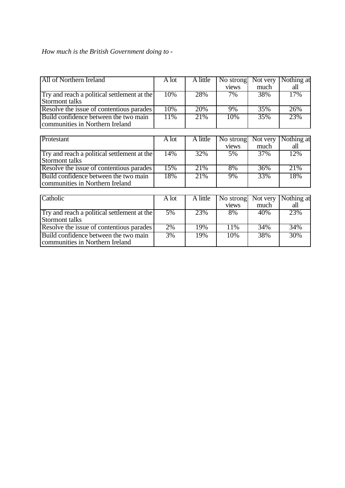## *How much is the British Government doing to* -

| All of Northern Ireland                                                  | A lot        | A little | No strong | Not very | Nothing at |
|--------------------------------------------------------------------------|--------------|----------|-----------|----------|------------|
|                                                                          |              |          | views     | much     | all        |
| Try and reach a political settlement at the                              | 10%          | 28%      | 7%        | 38%      | 17%        |
| Stormont talks                                                           |              |          |           |          |            |
| Resolve the issue of contentious parades                                 | 10%          | 20%      | 9%        | 35%      | 26%        |
| Build confidence between the two main<br>communities in Northern Ireland | 11%          | 21%      | 10%       | 35%      | 23%        |
|                                                                          |              |          |           |          |            |
| Protestant                                                               | A lot        | A little | No strong | Not very | Nothing at |
|                                                                          |              |          | views     | much     | all        |
| Try and reach a political settlement at the<br><b>Stormont talks</b>     | 14%          | 32%      | 5%        | 37%      | 12%        |
| Resolve the issue of contentious parades                                 | 15%          | 21%      | 8%        | 36%      | 21%        |
| Build confidence between the two main<br>communities in Northern Ireland | 18%          | 21%      | 9%        | 33%      | 18%        |
|                                                                          |              |          |           |          |            |
| Catholic                                                                 | A lot        | A little | No strong | Not very | Nothing at |
|                                                                          |              |          | views     | much     | all        |
| Try and reach a political settlement at the                              | $\sqrt{5\%}$ | 23%      | 8%        | 40%      | 23%        |
| <b>Stormont talks</b>                                                    |              |          |           |          |            |
| Resolve the issue of contentious parades                                 | 2%           | 19%      | 11%       | 34%      | 34%        |
| Build confidence between the two main<br>communities in Northern Ireland | 3%           | 19%      | 10%       | 38%      | 30%        |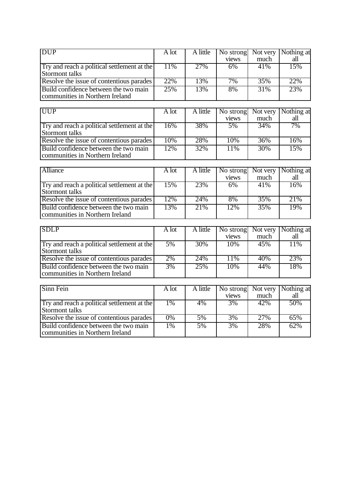| <b>DUP</b>                                                               | A lot | A little | No strong          | Not very         | Nothing at        |
|--------------------------------------------------------------------------|-------|----------|--------------------|------------------|-------------------|
|                                                                          |       |          | views              | much             | all               |
| Try and reach a political settlement at the<br>Stormont talks            | 11%   | 27%      | 6%                 | 41%              | 15%               |
| Resolve the issue of contentious parades                                 | 22%   | 13%      | 7%                 | 35%              | 22%               |
| Build confidence between the two main<br>communities in Northern Ireland | 25%   | 13%      | 8%                 | 31%              | 23%               |
| <b>UUP</b>                                                               | A lot | A little | No strong<br>views | Not very<br>much | Nothing at<br>all |
| Try and reach a political settlement at the<br><b>Stormont talks</b>     | 16%   | 38%      | 5%                 | 34%              | 7%                |
| Resolve the issue of contentious parades                                 | 10%   | 28%      | 10%                | 36%              | 16%               |
| Build confidence between the two main<br>communities in Northern Ireland | 12%   | 32%      | 11%                | 30%              | 15%               |
|                                                                          |       |          |                    |                  |                   |
| <b>Alliance</b>                                                          | A lot | A little | No strong<br>views | Not very<br>much | Nothing at<br>all |
| Try and reach a political settlement at the<br>Stormont talks            | 15%   | 23%      | 6%                 | 41%              | 16%               |
| Resolve the issue of contentious parades                                 | 12%   | 24%      | 8%                 | 35%              | 21%               |
| Build confidence between the two main<br>communities in Northern Ireland | 13%   | 21%      | 12%                | 35%              | 19%               |
|                                                                          |       |          |                    |                  |                   |
| <b>SDLP</b>                                                              | A lot | A little | No strong<br>views | Not very<br>much | Nothing at<br>all |
| Try and reach a political settlement at the<br>Stormont talks            | 5%    | 30%      | 10%                | 45%              | 11%               |
| Resolve the issue of contentious parades                                 | 2%    | 24%      | 11%                | 40%              | 23%               |
| Build confidence between the two main<br>communities in Northern Ireland | 3%    | 25%      | 10%                | 44%              | 18%               |
| Sinn Fein                                                                | A lot | A little | No strong<br>views | Not very<br>much | Nothing at<br>all |
| Try and reach a political settlement at the<br><b>Stormont talks</b>     | 1%    | 4%       | 3%                 | 42%              | 50%               |
| Resolve the issue of contentious parades                                 | 0%    | 5%       | 3%                 | 27%              | 65%               |
| Build confidence between the two main<br>communities in Northern Ireland | 1%    | 5%       | 3%                 | 28%              | 62%               |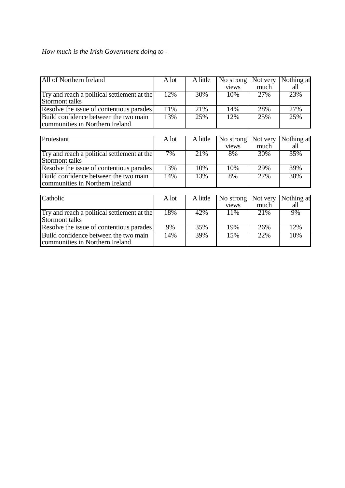## *How much is the Irish Government doing to* -

| All of Northern Ireland                     | A lot | A little | No strong | Not very | Nothing at |
|---------------------------------------------|-------|----------|-----------|----------|------------|
|                                             |       |          | views     | much     | all        |
| Try and reach a political settlement at the | 12%   | 30%      | 10%       | 27%      | 23%        |
| Stormont talks                              |       |          |           |          |            |
| Resolve the issue of contentious parades    | 11%   | 21%      | 14%       | 28%      | 27%        |
| Build confidence between the two main       | 13%   | 25%      | 12%       | 25%      | 25%        |
| communities in Northern Ireland             |       |          |           |          |            |
|                                             |       |          |           |          |            |
| Protestant                                  | A lot | A little | No strong | Not very | Nothing at |
|                                             |       |          | views     | much     | all        |
| Try and reach a political settlement at the | 7%    | 21%      | 8%        | 30%      | 35%        |
| Stormont talks                              |       |          |           |          |            |
| Resolve the issue of contentious parades    | 13%   | 10%      | 10%       | 29%      | 39%        |
| Build confidence between the two main       | 14%   | 13%      | 8%        | 27%      | 38%        |
| communities in Northern Ireland             |       |          |           |          |            |
|                                             |       |          |           |          |            |
| Catholic                                    | A lot | A little | No strong | Not very | Nothing at |
|                                             |       |          | views     | much     | all        |
| Try and reach a political settlement at the | 18%   | 42%      | 11%       | 21%      | 9%         |
| Stormont talks                              |       |          |           |          |            |
| Resolve the issue of contentious parades    | 9%    | 35%      | 19%       | 26%      | 12%        |
| Build confidence between the two main       | 14%   | 39%      | 15%       | 22%      | 10%        |
| communities in Northern Ireland             |       |          |           |          |            |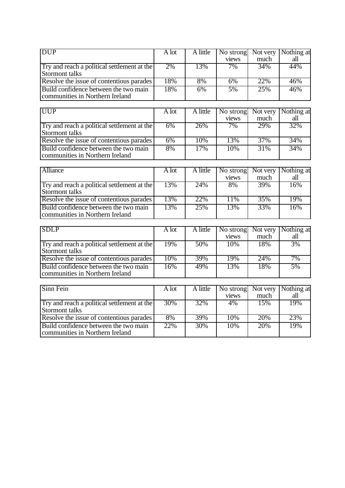| <b>DUP</b>                                                    | A lot | A little | No strong<br>views | Not very<br>much | Nothing at<br>all |
|---------------------------------------------------------------|-------|----------|--------------------|------------------|-------------------|
| Try and reach a political settlement at the                   | 2%    | 13%      | 7%                 | 34%              | 44%               |
| Stormont talks                                                |       |          |                    |                  |                   |
| Resolve the issue of contentious parades                      | 18%   | 8%       | 6%                 | 22%              | 46%               |
| Build confidence between the two main                         | 18%   | 6%       | 5%                 | 25%              | 46%               |
| communities in Northern Ireland                               |       |          |                    |                  |                   |
|                                                               |       |          |                    |                  |                   |
| <b>UUP</b>                                                    | A lot | A little | No strong          | Not very         | Nothing at        |
|                                                               |       |          | views              | much             | all               |
| Try and reach a political settlement at the<br>Stormont talks | 6%    | 26%      | 7%                 | 29%              | 32%               |
| Resolve the issue of contentious parades                      | 6%    | 10%      | 13%                | 37%              | 34%               |
| Build confidence between the two main                         | 8%    | 17%      | 10%                | 31%              | 34%               |
| communities in Northern Ireland                               |       |          |                    |                  |                   |
|                                                               |       |          |                    |                  |                   |
| Alliance                                                      | A lot | A little | No strong          | Not very         | Nothing at        |
|                                                               |       |          | views              | much             | all               |
| Try and reach a political settlement at the                   | 13%   | 24%      | 8%                 | 39%              | 16%               |
| <b>Stormont talks</b>                                         |       |          |                    |                  |                   |
| Resolve the issue of contentious parades                      | 13%   | 22%      | 11%                | 35%              | 19%               |
| Build confidence between the two main                         | 13%   | 25%      | 13%                | 33%              | 16%               |
| communities in Northern Ireland                               |       |          |                    |                  |                   |
|                                                               |       |          |                    |                  |                   |
| <b>SDLP</b>                                                   | A lot | A little | No strong          | Not very         | Nothing at        |
|                                                               |       |          | views              | much             | all               |
| Try and reach a political settlement at the                   | 19%   | 50%      | 10%                | 18%              | 3%                |
| <b>Stormont talks</b>                                         |       |          |                    |                  |                   |
| Resolve the issue of contentious parades                      | 10%   | 39%      | 19%                | 24%              | 7%                |
| Build confidence between the two main                         | 16%   | 49%      | 13%                | 18%              | 5%                |
| communities in Northern Ireland                               |       |          |                    |                  |                   |
|                                                               |       |          |                    |                  |                   |
| Sinn Fein                                                     | A lot | A little | No strong          | Not very         | Nothing at        |
|                                                               |       |          | views              | much             | all               |
| Try and reach a political settlement at the                   | 30%   | 32%      | 4%                 | 15%              | 19%               |
| Stormont talks                                                |       |          |                    |                  |                   |
| Resolve the issue of contentious parades                      | 8%    | 39%      | 10%                | 20%              | 23%               |
| Build confidence between the two main                         | 22%   | 30%      | 10%                | 20%              | 19%               |
| communities in Northern Ireland                               |       |          |                    |                  |                   |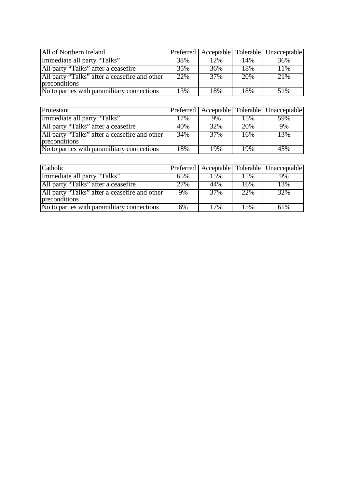| All of Northern Ireland                                        |     |     |     | Preferred   Acceptable   Tolerable   Unacceptable |
|----------------------------------------------------------------|-----|-----|-----|---------------------------------------------------|
| Immediate all party "Talks"                                    | 38% | 12% | 14% | 36%                                               |
| All party "Talks" after a ceasefire                            | 35% | 36% | 18% | 11%                                               |
| All party "Talks" after a ceasefire and other<br>preconditions | 22% | 37% | 20% | 21%                                               |
| No to parties with paramilitary connections                    | 13% | 18% | 18% | 51%                                               |

| Protestant                                                     |     |                   |     | Preferred   Acceptable   Tolerable   Unacceptable |
|----------------------------------------------------------------|-----|-------------------|-----|---------------------------------------------------|
| Immediate all party "Talks"                                    | 17% | 9%                | 15% | 59%                                               |
| All party "Talks" after a ceasefire                            | 40% | 32%               | 20% | 9%                                                |
| All party "Talks" after a ceasefire and other<br>preconditions | 34% | $\overline{37\%}$ | 16% | 13%                                               |
| No to parties with paramilitary connections                    | 18% | 19%               | 19% | 45%                                               |

| Catholic                                                       |     |     |     | Preferred   Acceptable   Tolerable   Unacceptable |
|----------------------------------------------------------------|-----|-----|-----|---------------------------------------------------|
| Immediate all party "Talks"                                    | 65% | 15% | 11% | 9%                                                |
| All party "Talks" after a ceasefire                            | 27% | 44% | 16% | 13%                                               |
| All party "Talks" after a ceasefire and other<br>preconditions | 9%  | 37% | 22% | 32%                                               |
| No to parties with paramilitary connections                    | 6%  | 17% | 15% | 61%                                               |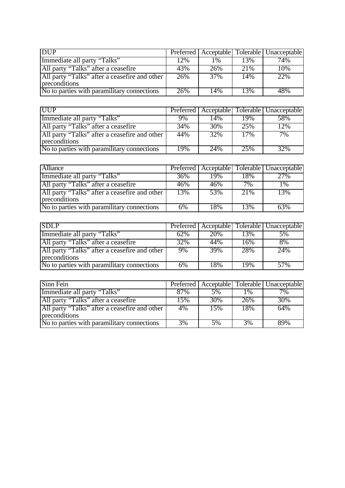| <b>DUP</b>                                                     |     |                |      | Preferred   Acceptable   Tolerable   Unacceptable |
|----------------------------------------------------------------|-----|----------------|------|---------------------------------------------------|
| Immediate all party "Talks"                                    | 12% | $\frac{10}{6}$ | 13%  | 74%                                               |
| All party "Talks" after a ceasefire                            | 43% | 26%            | 21\% | 10%                                               |
| All party "Talks" after a ceasefire and other<br>preconditions | 26% | 37%            | 14%  | 22%                                               |
| No to parties with paramilitary connections                    | 26% | 14%            | 13%  | 48%                                               |

| <b>UUP</b>                                                     |     |     |     | Preferred   Acceptable   Tolerable   Unacceptable |
|----------------------------------------------------------------|-----|-----|-----|---------------------------------------------------|
| Immediate all party "Talks"                                    | 9%  | 14% | 19% | 58%                                               |
| All party "Talks" after a ceasefire                            | 34% | 30% | 25% | 12%                                               |
| All party "Talks" after a ceasefire and other<br>preconditions | 44% | 32% | 17% | 7%                                                |
| No to parties with paramilitary connections                    | 19% | 24% | 25% | 32%                                               |

| <b>Alliance</b>                                                |     |     |     | Preferred   Acceptable   Tolerable   Unacceptable |
|----------------------------------------------------------------|-----|-----|-----|---------------------------------------------------|
| Immediate all party "Talks"                                    | 36% | 19% | 18% | 27%                                               |
| All party "Talks" after a ceasefire                            | 46% | 46% | 7%  | 1%                                                |
| All party "Talks" after a ceasefire and other<br>preconditions | 13% | 53% | 21% | 13%                                               |
| No to parties with paramilitary connections                    | 6%  | 18% | 13% | 63%                                               |

| <b>SDLP</b>                                                    |     |     |     | Preferred   Acceptable   Tolerable   Unacceptable |
|----------------------------------------------------------------|-----|-----|-----|---------------------------------------------------|
| Immediate all party "Talks"                                    | 62% | 20% | 13% | 5%                                                |
| All party "Talks" after a ceasefire                            | 32% | 44% | 16% | 8%                                                |
| All party "Talks" after a ceasefire and other<br>preconditions | 9%  | 39% | 28% | 24%                                               |
| No to parties with paramilitary connections                    | 6%  | 18% | 19% | 57%                                               |

| Sinn Fein                                                      |     |     |       | Preferred   Acceptable   Tolerable   Unacceptable |
|----------------------------------------------------------------|-----|-----|-------|---------------------------------------------------|
| Immediate all party "Talks"                                    | 87% | 5%  | $1\%$ | 7%                                                |
| All party "Talks" after a ceasefire                            | 15% | 30% | 26%   | 30%                                               |
| All party "Talks" after a ceasefire and other<br>preconditions | 4%  | 15% | 18%   | 64%                                               |
| No to parties with paramilitary connections                    | 3%  | 5%  | 3%    | 89%                                               |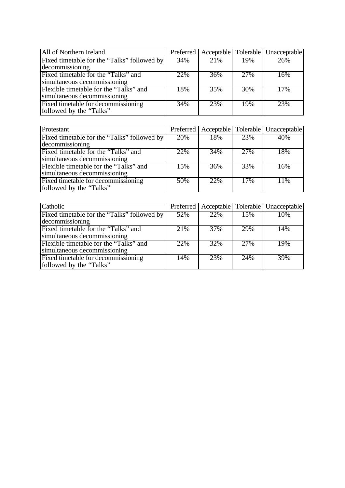| All of Northern Ireland                     |     |                   |     | Preferred   Acceptable   Tolerable   Unacceptable |
|---------------------------------------------|-----|-------------------|-----|---------------------------------------------------|
| Fixed timetable for the "Talks" followed by | 34% | $\overline{21}\%$ | 19% | 26%                                               |
| decommissioning                             |     |                   |     |                                                   |
| Fixed timetable for the "Talks" and         | 22% | 36%               | 27% | 16%                                               |
| simultaneous decommissioning                |     |                   |     |                                                   |
| Flexible timetable for the "Talks" and      | 18% | 35%               | 30% | 17%                                               |
| simultaneous decommissioning                |     |                   |     |                                                   |
| Fixed timetable for decommissioning         | 34% | 23%               | 19% | 23%                                               |
| followed by the "Talks"                     |     |                   |     |                                                   |

| Protestant                                  |     |     |     | Preferred   Acceptable   Tolerable   Unacceptable |
|---------------------------------------------|-----|-----|-----|---------------------------------------------------|
| Fixed timetable for the "Talks" followed by | 20% | 18% | 23% | 40%                                               |
| decommissioning                             |     |     |     |                                                   |
| Fixed timetable for the "Talks" and         | 22% | 34% | 27% | 18%                                               |
| simultaneous decommissioning                |     |     |     |                                                   |
| Flexible timetable for the "Talks" and      | 15% | 36% | 33% | 16%                                               |
| simultaneous decommissioning                |     |     |     |                                                   |
| Fixed timetable for decommissioning         | 50% | 22% | 17% | 11%                                               |
| followed by the "Talks"                     |     |     |     |                                                   |

| Catholic                                    |     |     |     | Preferred   Acceptable   Tolerable   Unacceptable |
|---------------------------------------------|-----|-----|-----|---------------------------------------------------|
| Fixed timetable for the "Talks" followed by | 52% | 22% | 15% | 10%                                               |
| decommissioning                             |     |     |     |                                                   |
| Fixed timetable for the "Talks" and         | 21% | 37% | 29% | 14%                                               |
| simultaneous decommissioning                |     |     |     |                                                   |
| Flexible timetable for the "Talks" and      | 22% | 32% | 27% | 19%                                               |
| simultaneous decommissioning                |     |     |     |                                                   |
| Fixed timetable for decommissioning         | 14% | 23% | 24% | 39%                                               |
| followed by the "Talks"                     |     |     |     |                                                   |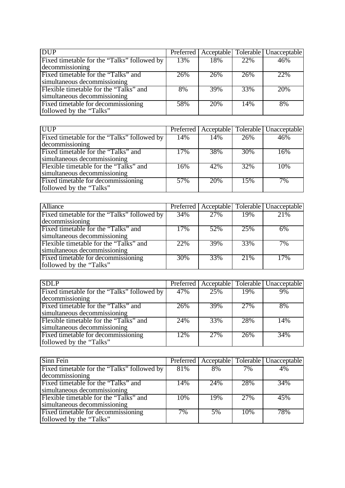| <b>DUP</b>                                  |     |     |     | Preferred   Acceptable   Tolerable   Unacceptable |
|---------------------------------------------|-----|-----|-----|---------------------------------------------------|
| Fixed timetable for the "Talks" followed by | 13% | 18% | 22% | 46%                                               |
| decommissioning                             |     |     |     |                                                   |
| Fixed timetable for the "Talks" and         | 26% | 26% | 26% | 22%                                               |
| simultaneous decommissioning                |     |     |     |                                                   |
| Flexible timetable for the "Talks" and      | 8%  | 39% | 33% | 20%                                               |
| simultaneous decommissioning                |     |     |     |                                                   |
| Fixed timetable for decommissioning         | 58% | 20% | 14% | 8%                                                |
| followed by the "Talks"                     |     |     |     |                                                   |

| <b>UUP</b>                                  |     |     |     | Preferred   Acceptable   Tolerable   Unacceptable |
|---------------------------------------------|-----|-----|-----|---------------------------------------------------|
| Fixed timetable for the "Talks" followed by | 14% | 14% | 26% | 46%                                               |
| decommissioning                             |     |     |     |                                                   |
| Fixed timetable for the "Talks" and         | 17% | 38% | 30% | 16%                                               |
| simultaneous decommissioning                |     |     |     |                                                   |
| Flexible timetable for the "Talks" and      | 16% | 42% | 32% | 10%                                               |
| simultaneous decommissioning                |     |     |     |                                                   |
| Fixed timetable for decommissioning         | 57% | 20% | 15% | 7%                                                |
| followed by the "Talks"                     |     |     |     |                                                   |

| <b>Alliance</b>                             |     |     |     | Preferred   Acceptable   Tolerable   Unacceptable |
|---------------------------------------------|-----|-----|-----|---------------------------------------------------|
| Fixed timetable for the "Talks" followed by | 34% | 27% | 19% | 21%                                               |
| decommissioning                             |     |     |     |                                                   |
| Fixed timetable for the "Talks" and         | 17% | 52% | 25% | 6%                                                |
| simultaneous decommissioning                |     |     |     |                                                   |
| Flexible timetable for the "Talks" and      | 22% | 39% | 33% | 7%                                                |
| simultaneous decommissioning                |     |     |     |                                                   |
| Fixed timetable for decommissioning         | 30% | 33% | 21% | 17%                                               |
| followed by the "Talks"                     |     |     |     |                                                   |

| <b>SDLP</b>                                 |     |     |     | Preferred   Acceptable   Tolerable   Unacceptable |
|---------------------------------------------|-----|-----|-----|---------------------------------------------------|
| Fixed timetable for the "Talks" followed by | 47% | 25% | 19% | 9%                                                |
| decommissioning                             |     |     |     |                                                   |
| Fixed timetable for the "Talks" and         | 26% | 39% | 27% | 8%                                                |
| simultaneous decommissioning                |     |     |     |                                                   |
| Flexible timetable for the "Talks" and      | 24% | 33% | 28% | 14%                                               |
| simultaneous decommissioning                |     |     |     |                                                   |
| Fixed timetable for decommissioning         | 12% | 27% | 26% | 34%                                               |
| followed by the "Talks"                     |     |     |     |                                                   |

| Sinn Fein                                   |     |     |     | Preferred   Acceptable   Tolerable   Unacceptable |
|---------------------------------------------|-----|-----|-----|---------------------------------------------------|
| Fixed timetable for the "Talks" followed by | 81% | 8%  | 7%  | 4%                                                |
| decommissioning                             |     |     |     |                                                   |
| Fixed timetable for the "Talks" and         | 14% | 24% | 28% | 34%                                               |
| simultaneous decommissioning                |     |     |     |                                                   |
| Flexible timetable for the "Talks" and      | 10% | 19% | 27% | 45%                                               |
| simultaneous decommissioning                |     |     |     |                                                   |
| Fixed timetable for decommissioning         | 7%  | 5%  | 10% | 78%                                               |
| followed by the "Talks"                     |     |     |     |                                                   |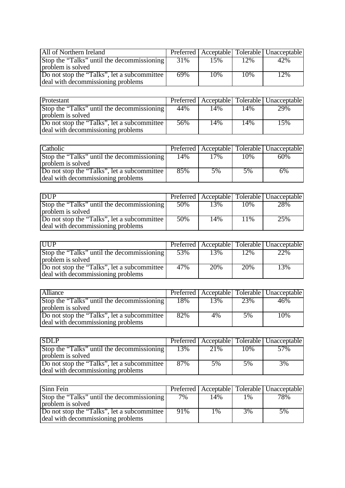| All of Northern Ireland                     |     |     |     | Preferred   Acceptable   Tolerable   Unacceptable |
|---------------------------------------------|-----|-----|-----|---------------------------------------------------|
| Stop the "Talks" until the decommissioning  | 31% | 15% | 12% | 42%                                               |
| problem is solved                           |     |     |     |                                                   |
| Do not stop the "Talks", let a subcommittee | 69% | 10% | 10% | 12%                                               |
| deal with decommissioning problems          |     |     |     |                                                   |

| Protestant                                  |     |     |     | Preferred   Acceptable   Tolerable   Unacceptable |
|---------------------------------------------|-----|-----|-----|---------------------------------------------------|
| Stop the "Talks" until the decommissioning  | 44% | 14% | 14% | 29%                                               |
| problem is solved                           |     |     |     |                                                   |
| Do not stop the "Talks", let a subcommittee | 56% | 14% | 14% | 15%                                               |
| deal with decommissioning problems          |     |     |     |                                                   |

| Catholic                                                                            |     |     |     | Preferred   Acceptable   Tolerable   Unacceptable |
|-------------------------------------------------------------------------------------|-----|-----|-----|---------------------------------------------------|
| Stop the "Talks" until the decommissioning<br>problem is solved                     | 14% | 17% | 10% | 60%                                               |
| Do not stop the "Talks", let a subcommittee  <br>deal with decommissioning problems | 85% | 5%  | 5%  | 6%                                                |

| <b>DUP</b>                                                                        |     |     |     | Preferred   Acceptable   Tolerable   Unacceptable |
|-----------------------------------------------------------------------------------|-----|-----|-----|---------------------------------------------------|
| Stop the "Talks" until the decommissioning<br>problem is solved                   | 50% | 13% | 10% | 28%                                               |
| Do not stop the "Talks", let a subcommittee<br>deal with decommissioning problems | 50% | 14% | 11% | 25%                                               |

| <b>IUIP</b>                                                                       |     |     |     | Preferred   Acceptable   Tolerable   Unacceptable |
|-----------------------------------------------------------------------------------|-----|-----|-----|---------------------------------------------------|
| Stop the "Talks" until the decommissioning<br>problem is solved                   | 53% | 13% | 12% | 22%                                               |
| Do not stop the "Talks", let a subcommittee<br>deal with decommissioning problems | 47% | 20% | 20% | 13%                                               |

| Alliance                                                                          |     |     |     | Preferred   Acceptable   Tolerable   Unacceptable |
|-----------------------------------------------------------------------------------|-----|-----|-----|---------------------------------------------------|
| Stop the "Talks" until the decommissioning  <br>problem is solved                 | 18% | 13% | 23% | 46%                                               |
| Do not stop the "Talks", let a subcommittee<br>deal with decommissioning problems | 82% | 4%  | 5%  | 10%                                               |

| <b>SDLP</b>                                                                         |     |     |     | Preferred   Acceptable   Tolerable   Unacceptable |
|-------------------------------------------------------------------------------------|-----|-----|-----|---------------------------------------------------|
| Stop the "Talks" until the decommissioning<br>problem is solved                     | 13% | 21% | 10% | 57%                                               |
| Do not stop the "Talks", let a subcommittee  <br>deal with decommissioning problems | 87% | 5%  | 5%  | 3%                                                |

| Sinn Fein                                                                         |        |       |       | Preferred   Acceptable   Tolerable   Unacceptable |
|-----------------------------------------------------------------------------------|--------|-------|-------|---------------------------------------------------|
| Stop the "Talks" until the decommissioning<br>problem is solved                   | 7%     | 14%   | $1\%$ | 78%                                               |
| Do not stop the "Talks", let a subcommittee<br>deal with decommissioning problems | $91\%$ | $1\%$ | 3%    | 5%                                                |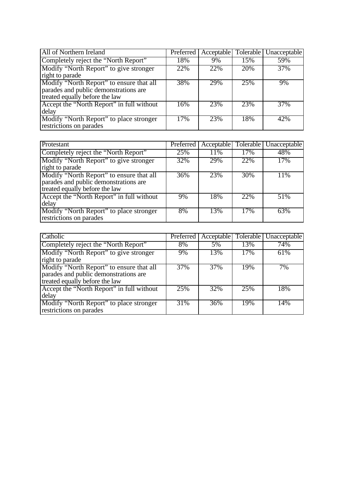| All of Northern Ireland                                                           | Preferred | Acceptable   Tolerable |     | Unacceptable |
|-----------------------------------------------------------------------------------|-----------|------------------------|-----|--------------|
| Completely reject the "North Report"                                              | 18%       | 9%                     | 15% | 59%          |
| Modify "North Report" to give stronger                                            | 22%       | 22%                    | 20% | 37%          |
| right to parade                                                                   |           |                        |     |              |
| Modify "North Report" to ensure that all<br>parades and public demonstrations are | 38%       | 29%                    | 25% | 9%           |
| treated equally before the law                                                    |           |                        |     |              |
| Accept the "North Report" in full without                                         | 16%       | 23%                    | 23% | 37%          |
| delay                                                                             |           |                        |     |              |
| Modify "North Report" to place stronger                                           | 17%       | 23%                    | 18% | 42%          |
| restrictions on parades                                                           |           |                        |     |              |

| Protestant                                                                                                          |     |     |     | Preferred   Acceptable   Tolerable   Unacceptable |
|---------------------------------------------------------------------------------------------------------------------|-----|-----|-----|---------------------------------------------------|
| Completely reject the "North Report"                                                                                | 25% | 11% | 17% | 48%                                               |
| Modify "North Report" to give stronger<br>right to parade                                                           | 32% | 29% | 22% | 17%                                               |
| Modify "North Report" to ensure that all<br>parades and public demonstrations are<br>treated equally before the law | 36% | 23% | 30% | 11%                                               |
| Accept the "North Report" in full without<br>delay                                                                  | 9%  | 18% | 22% | 51%                                               |
| Modify "North Report" to place stronger<br>restrictions on parades                                                  | 8%  | 13% | 17% | 63%                                               |

| Catholic                                  | $\overline{\text{Perfect}}$ |     |     | Acceptable   Tolerable   Unacceptable |
|-------------------------------------------|-----------------------------|-----|-----|---------------------------------------|
| Completely reject the "North Report"      | 8%                          | 5%  | 13% | 74%                                   |
| Modify "North Report" to give stronger    | 9%                          | 13% | 17% | 61%                                   |
| right to parade                           |                             |     |     |                                       |
| Modify "North Report" to ensure that all  | 37%                         | 37% | 19% | 7%                                    |
| parades and public demonstrations are     |                             |     |     |                                       |
| treated equally before the law            |                             |     |     |                                       |
| Accept the "North Report" in full without | 25%                         | 32% | 25% | 18%                                   |
| delay                                     |                             |     |     |                                       |
| Modify "North Report" to place stronger   | 31%                         | 36% | 19% | 14%                                   |
| restrictions on parades                   |                             |     |     |                                       |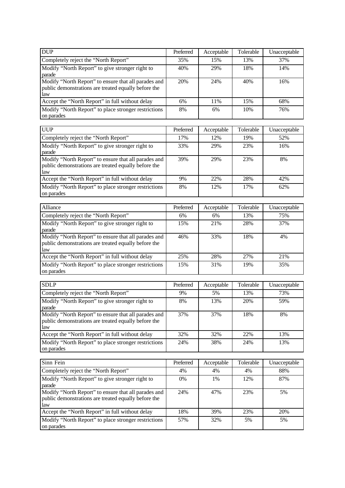| <b>DUP</b>                                                                                                          | Preferred | Acceptable | Tolerable | Unacceptable |
|---------------------------------------------------------------------------------------------------------------------|-----------|------------|-----------|--------------|
| Completely reject the "North Report"                                                                                | 35%       | 15%        | 13%       | 37%          |
| Modify "North Report" to give stronger right to<br>parade                                                           | 40%       | 29%        | 18%       | 14%          |
| Modify "North Report" to ensure that all parades and<br>public demonstrations are treated equally before the<br>law | 20%       | 24%        | 40%       | 16%          |
| Accept the "North Report" in full without delay                                                                     | 6%        | 11%        | 15%       | 68%          |
| Modify "North Report" to place stronger restrictions<br>on parades                                                  | 8%        | 6%         | 10%       | 76%          |

| <b>UUP</b>                                                                                                          | Preferred | Acceptable | Tolerable | Unacceptable |
|---------------------------------------------------------------------------------------------------------------------|-----------|------------|-----------|--------------|
| Completely reject the "North Report"                                                                                | 17%       | 12%        | 19%       | 52%          |
| Modify "North Report" to give stronger right to<br>parade                                                           | 33%       | 29%        | 23%       | 16%          |
| Modify "North Report" to ensure that all parades and<br>public demonstrations are treated equally before the<br>law | 39%       | 29%        | 23%       | 8%           |
| Accept the "North Report" in full without delay                                                                     | 9%        | 22%        | 28%       | 42%          |
| Modify "North Report" to place stronger restrictions<br>on parades                                                  | 8%        | 12%        | 17%       | 62%          |

| Alliance                                                                                                            | Preferred | Acceptable | Tolerable | Unacceptable |
|---------------------------------------------------------------------------------------------------------------------|-----------|------------|-----------|--------------|
| Completely reject the "North Report"                                                                                | 6%        | 6%         | 13%       | 75%          |
| Modify "North Report" to give stronger right to<br>parade                                                           | 15%       | 21%        | 28%       | 37%          |
| Modify "North Report" to ensure that all parades and<br>public demonstrations are treated equally before the<br>law | 46%       | 33%        | 18%       | 4%           |
| Accept the "North Report" in full without delay                                                                     | 25%       | 28%        | 27%       | 21\%         |
| Modify "North Report" to place stronger restrictions<br>on parades                                                  | 15%       | 31%        | 19%       | 35%          |

| <b>SDLP</b>                                                                                                         | Preferred | Acceptable | Tolerable | Unacceptable |
|---------------------------------------------------------------------------------------------------------------------|-----------|------------|-----------|--------------|
| Completely reject the "North Report"                                                                                | 9%        | 5%         | 13%       | 73%          |
| Modify "North Report" to give stronger right to<br>parade                                                           | 8%        | 13%        | 20%       | 59%          |
| Modify "North Report" to ensure that all parades and<br>public demonstrations are treated equally before the<br>law | 37%       | 37%        | 18%       | 8%           |
| Accept the "North Report" in full without delay                                                                     | 32%       | 32%        | 22%       | 13%          |
| Modify "North Report" to place stronger restrictions<br>on parades                                                  | 24%       | 38%        | 24%       | 13%          |

| Sinn Fein                                                                                                           | Preferred | Acceptable | Tolerable | Unacceptable |
|---------------------------------------------------------------------------------------------------------------------|-----------|------------|-----------|--------------|
| Completely reject the "North Report"                                                                                | 4%        | 4%         | 4%        | 88%          |
| Modify "North Report" to give stronger right to<br>parade                                                           | 0%        | 1%         | 12%       | 87%          |
| Modify "North Report" to ensure that all parades and<br>public demonstrations are treated equally before the<br>law | 24%       | 47%        | 23%       | 5%           |
| Accept the "North Report" in full without delay                                                                     | 18%       | 39%        | 23%       | 20%          |
| Modify "North Report" to place stronger restrictions<br>on parades                                                  | 57%       | 32%        | 5%        | 5%           |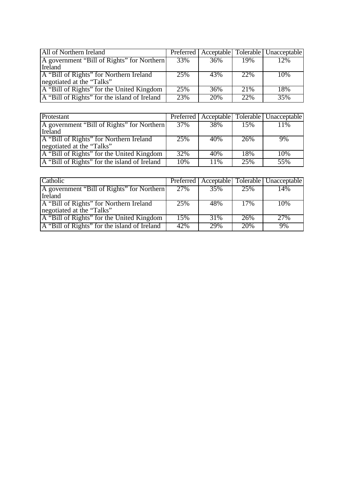| All of Northern Ireland                      |                   |     |      | Preferred   Acceptable   Tolerable   Unacceptable |
|----------------------------------------------|-------------------|-----|------|---------------------------------------------------|
| A government "Bill of Rights" for Northern   | $\overline{33\%}$ | 36% | 19%  | 12%                                               |
| Ireland                                      |                   |     |      |                                                   |
| A "Bill of Rights" for Northern Ireland      | 25%               | 43% | 22%  | 10%                                               |
| negotiated at the "Talks"                    |                   |     |      |                                                   |
| A "Bill of Rights" for the United Kingdom    | 25%               | 36% | 2.1% | 18%                                               |
| A "Bill of Rights" for the island of Ireland | 23%               | 20% | 22%  | 35%                                               |

| Protestant                                   |     |     |     | Preferred   Acceptable   Tolerable   Unacceptable |
|----------------------------------------------|-----|-----|-----|---------------------------------------------------|
| A government "Bill of Rights" for Northern   | 37% | 38% | 15% | 11%                                               |
| Ireland                                      |     |     |     |                                                   |
| A "Bill of Rights" for Northern Ireland      | 25% | 40% | 26% | 9%                                                |
| negotiated at the "Talks"                    |     |     |     |                                                   |
| A "Bill of Rights" for the United Kingdom    | 32% | 40% | 18% | 10%                                               |
| A "Bill of Rights" for the island of Ireland | 10% | 11% | 25% | 55%                                               |

| Catholic                                     |     |     |     | Preferred   Acceptable   Tolerable   Unacceptable |
|----------------------------------------------|-----|-----|-----|---------------------------------------------------|
| A government "Bill of Rights" for Northern   | 27% | 35% | 25% | 14%                                               |
| <b>I</b> reland                              |     |     |     |                                                   |
| A "Bill of Rights" for Northern Ireland      | 25% | 48% | 17% | 10%                                               |
| negotiated at the "Talks"                    |     |     |     |                                                   |
| A "Bill of Rights" for the United Kingdom    | 15% | 31% | 26% | 27%                                               |
| A "Bill of Rights" for the island of Ireland | 42% | 29% | 20% | 9%                                                |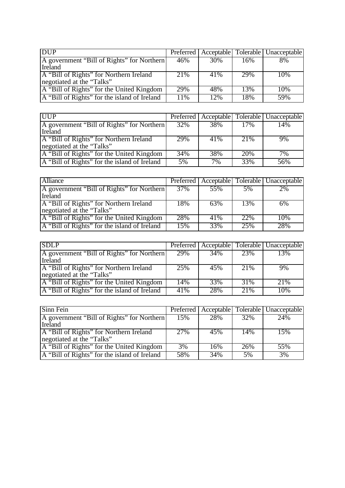| <b>DUP</b>                                   |     |     |     | Preferred   Acceptable   Tolerable   Unacceptable |
|----------------------------------------------|-----|-----|-----|---------------------------------------------------|
| A government "Bill of Rights" for Northern   | 46% | 30% | 16% | 8%                                                |
| Ireland                                      |     |     |     |                                                   |
| A "Bill of Rights" for Northern Ireland      | 21% | 41% | 29% | 10%                                               |
| negotiated at the "Talks"                    |     |     |     |                                                   |
| A "Bill of Rights" for the United Kingdom    | 29% | 48% | 13% | 10%                                               |
| A "Bill of Rights" for the island of Ireland | 11% | 12% | 18% | 59%                                               |

| <b>UUP</b>                                   |     |     |      | Preferred   Acceptable   Tolerable   Unacceptable |
|----------------------------------------------|-----|-----|------|---------------------------------------------------|
| A government "Bill of Rights" for Northern   | 32% | 38% | 17%  | 14%                                               |
| Ireland                                      |     |     |      |                                                   |
| A "Bill of Rights" for Northern Ireland      | 29% | 41% | 21\% | 9%                                                |
| negotiated at the "Talks"                    |     |     |      |                                                   |
| A "Bill of Rights" for the United Kingdom    | 34% | 38% | 20%  | 7%                                                |
| A "Bill of Rights" for the island of Ireland | 5%  | 7%  | 33%  | 56%                                               |

| <b>Alliance</b>                              |     |     |     | Preferred   Acceptable   Tolerable   Unacceptable |
|----------------------------------------------|-----|-----|-----|---------------------------------------------------|
| A government "Bill of Rights" for Northern   | 37% | 55% | 5%  | 2%                                                |
| Ireland                                      |     |     |     |                                                   |
| A "Bill of Rights" for Northern Ireland      | 18% | 63% | 13% | 6%                                                |
| negotiated at the "Talks"                    |     |     |     |                                                   |
| A "Bill of Rights" for the United Kingdom    | 28% | 41% | 22% | 10%                                               |
| A "Bill of Rights" for the island of Ireland | 15% | 33% | 25% | 28%                                               |

| <b>SDLP</b>                                  |     |     |      | Preferred   Acceptable   Tolerable   Unacceptable |
|----------------------------------------------|-----|-----|------|---------------------------------------------------|
| A government "Bill of Rights" for Northern   | 29% | 34% | 23%  | 13%                                               |
| Ireland                                      |     |     |      |                                                   |
| A "Bill of Rights" for Northern Ireland      | 25% | 45% | 21%  | 9%                                                |
| negotiated at the "Talks"                    |     |     |      |                                                   |
| A "Bill of Rights" for the United Kingdom    | 14% | 33% | 31%  | 21%                                               |
| A "Bill of Rights" for the island of Ireland | 41% | 28% | 2.1% | 10%                                               |

| Sinn Fein                                    |     |     |     | Preferred   Acceptable   Tolerable   Unacceptable |
|----------------------------------------------|-----|-----|-----|---------------------------------------------------|
| A government "Bill of Rights" for Northern   | 15% | 28% | 32% | 24%                                               |
| Ireland                                      |     |     |     |                                                   |
| A "Bill of Rights" for Northern Ireland      | 27% | 45% | 14% | 15%                                               |
| negotiated at the "Talks"                    |     |     |     |                                                   |
| A "Bill of Rights" for the United Kingdom    | 3%  | 16% | 26% | 55%                                               |
| A "Bill of Rights" for the island of Ireland | 58% | 34% | 5%  | 3%                                                |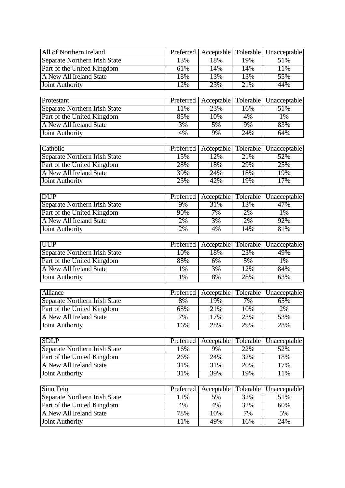| All of Northern Ireland                               | Preferred       | Acceptable        | <b>Tolerable</b> | Unacceptable        |
|-------------------------------------------------------|-----------------|-------------------|------------------|---------------------|
| Separate Northern Irish State                         | 13%             | 18%               | 19%              | 51%                 |
| Part of the United Kingdom                            | 61%             | 14%               | 14%              | 11%                 |
| A New All Ireland State                               | 18%             | 13%               | 13%              | 55%                 |
| <b>Joint Authority</b>                                | 12%             | 23%               | 21%              | 44%                 |
|                                                       |                 |                   |                  |                     |
| Protestant                                            | Preferred       | Acceptable        | Tolerable        | Unacceptable        |
| Separate Northern Irish State                         | 11%             | 23%               | 16%              | 51%                 |
| Part of the United Kingdom                            | 85%             | 10%               | 4%               | 1%                  |
| <b>A New All Ireland State</b>                        | 3%              | 5%                | 9%               | 83%                 |
| <b>Joint Authority</b>                                | 4%              | 9%                | 24%              | 64%                 |
|                                                       |                 |                   |                  |                     |
| Catholic                                              | Preferred       | Acceptable        | Tolerable        | Unacceptable        |
| Separate Northern Irish State                         | 15%             | 12%               | 21%              | 52%                 |
| Part of the United Kingdom                            | 28%             | 18%               | 29%              | 25%                 |
| <b>A New All Ireland State</b>                        | 39%             | 24%               | 18%              | 19%                 |
| <b>Joint Authority</b>                                | 23%             | 42%               | 19%              | 17%                 |
|                                                       |                 |                   |                  |                     |
| <b>DUP</b>                                            | Preferred<br>9% | Acceptable<br>31% | Tolerable<br>13% | Unacceptable<br>47% |
| Separate Northern Irish State                         | 90%             | 7%                | 2%               |                     |
| Part of the United Kingdom<br>A New All Ireland State | 2%              | 3%                |                  | $1\%$<br>92%        |
|                                                       | 2%              | 4%                | 2%<br>14%        | 81%                 |
| <b>Joint Authority</b>                                |                 |                   |                  |                     |
| <b>UUP</b>                                            | Preferred       | Acceptable        | Tolerable        | Unacceptable        |
| Separate Northern Irish State                         | 10%             | 18%               | 23%              | 49%                 |
| Part of the United Kingdom                            | 88%             | 6%                | 5%               | $1\%$               |
| A New All Ireland State                               | 1%              | 3%                | 12%              | 84%                 |
| <b>Joint Authority</b>                                | $1\%$           | 8%                | 28%              | 63%                 |
|                                                       |                 |                   |                  |                     |
| <b>Alliance</b>                                       | Preferred       | Acceptable        | Tolerable        | Unacceptable        |
| Separate Northern Irish State                         | 8%              | 19%               | 7%               | 65%                 |
| Part of the United Kingdom                            | 68%             | 21%               | 10%              | 2%                  |
| A New All Ireland State                               | 7%              | 17%               | 23%              | 53%                 |
| <b>Joint Authority</b>                                | 16%             | 28%               | 29%              | 28%                 |
|                                                       |                 |                   |                  |                     |
| <b>SDLP</b>                                           | Preferred       | Acceptable        | Tolerable        | Unacceptable        |
| Separate Northern Irish State                         | 16%             | 9%                | 22%              | 52%                 |
| Part of the United Kingdom                            | 26%             | 24%               | 32%              | 18%                 |
| A New All Ireland State                               | 31%             | 31%               | 20%              | 17%                 |
| <b>Joint Authority</b>                                | 31%             | 39%               | 19%              | 11%                 |
|                                                       |                 |                   |                  |                     |
| Sinn Fein                                             | Preferred       | Acceptable        | Tolerable        | Unacceptable        |
| Separate Northern Irish State                         | 11%             | 5%                | 32%              | 51%                 |
| Part of the United Kingdom                            | 4%              | 4%                | 32%              | 60%                 |
| A New All Ireland State                               | 78%             | 10%               | 7%               | $5\%$               |
| <b>Joint Authority</b>                                | 11%             | 49%               | 16%              | 24%                 |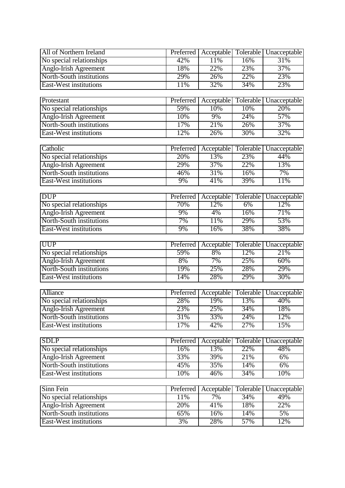| All of Northern Ireland                           | Preferred  | Acceptable        | Tolerable        | Unacceptable        |
|---------------------------------------------------|------------|-------------------|------------------|---------------------|
| No special relationships                          | 42%        | 11%               | 16%              | 31%                 |
| Anglo-Irish Agreement                             | 18%        | 22%               | 23%              | 37%                 |
| North-South institutions                          | 29%        | 26%               | 22%              | 23%                 |
| East-West institutions                            | 11%        | 32%               | 34%              | 23%                 |
|                                                   |            |                   |                  |                     |
| Protestant                                        | Preferred  | Acceptable        | Tolerable        | Unacceptable        |
| No special relationships                          | 59%        | 10%               | 10%              | 20%                 |
| Anglo-Irish Agreement                             | 10%        | 9%                | 24%              | 57%                 |
| North-South institutions                          | 17%        | 21%               | 26%              | 37%                 |
| <b>East-West institutions</b>                     | 12%        | 26%               | 30%              | 32%                 |
|                                                   |            |                   |                  |                     |
| Catholic                                          | Preferred  | Acceptable        | Tolerable        | Unacceptable        |
| No special relationships                          | 20%        | 13%               | 23%              | 44%                 |
| Anglo-Irish Agreement                             | 29%        | 37%               | 22%              | 13%                 |
| North-South institutions                          | 46%        | 31%               | 16%              | 7%                  |
| <b>East-West institutions</b>                     | 9%         | 41%               | 39%              | 11%                 |
|                                                   |            |                   |                  |                     |
| <b>DUP</b>                                        | Preferred  | Acceptable        | Tolerable        | Unacceptable        |
| No special relationships                          | 70%        | 12%               | 6%               | 12%                 |
| Anglo-Irish Agreement                             | 9%         | 4%                | 16%              | 71%                 |
| North-South institutions                          | 7%         | 11%               | 29%              | 53%                 |
| <b>East-West institutions</b>                     | 9%         | 16%               | 38%              | 38%                 |
|                                                   |            |                   |                  |                     |
| <b>UUP</b>                                        | Preferred  | Acceptable        | Tolerable        | Unacceptable        |
| No special relationships                          | 59%        | 8%                | 12%              | 21%                 |
| Anglo-Irish Agreement                             | 8%         | 7%                | 25%              | 60%                 |
| North-South institutions                          | 19%        | 25%               | 28%              | 29%                 |
| <b>East-West institutions</b>                     | 14%        | 28%               | 29%              | 30%                 |
| <b>Alliance</b>                                   | Preferred  |                   |                  |                     |
|                                                   | 28%        | Acceptable<br>19% | Tolerable<br>13% | Unacceptable<br>40% |
| No special relationships                          |            |                   |                  |                     |
| Anglo-Irish Agreement<br>North-South institutions | 23%<br>31% | 25%<br>33%        | 34%<br>24%       | 18%<br>12%          |
|                                                   |            |                   |                  |                     |
| <b>East-West institutions</b>                     | 17%        | 42%               | 27%              | 15%                 |
| <b>SDLP</b>                                       | Preferred  | Acceptable        | Tolerable        | Unacceptable        |
| No special relationships                          | 16%        | 13%               | 22%              | 48%                 |
| Anglo-Irish Agreement                             | 33%        | 39%               | 21%              | $6\%$               |
| North-South institutions                          | 45%        | 35%               | 14%              | 6%                  |
| <b>East-West institutions</b>                     | 10%        | 46%               | 34%              | 10%                 |
|                                                   |            |                   |                  |                     |
| Sinn Fein                                         | Preferred  | Acceptable        | Tolerable        | Unacceptable        |
| No special relationships                          | 11%        | 7%                | 34%              | 49%                 |
| Anglo-Irish Agreement                             |            |                   |                  |                     |
|                                                   | 20%        | 41%               | 18%              | 22%                 |
| North-South institutions                          | 65%        | 16%               | 14%              | $5\%$               |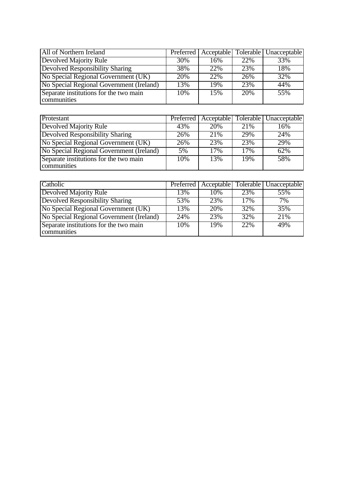| All of Northern Ireland                               |     |     |     | Preferred   Acceptable   Tolerable   Unacceptable |
|-------------------------------------------------------|-----|-----|-----|---------------------------------------------------|
| <b>Devolved Majority Rule</b>                         | 30% | 16% | 22% | 33%                                               |
| <b>Devolved Responsibility Sharing</b>                | 38% | 22% | 23% | 18%                                               |
| No Special Regional Government (UK)                   | 20% | 22% | 26% | 32%                                               |
| No Special Regional Government (Ireland)              | 13% | 19% | 23% | 44%                                               |
| Separate institutions for the two main<br>communities | 10% | 15% | 20% | 55%                                               |

| Protestant                                            |     |     |      | Preferred   Acceptable   Tolerable   Unacceptable |
|-------------------------------------------------------|-----|-----|------|---------------------------------------------------|
| <b>Devolved Majority Rule</b>                         | 43% | 20% | 21\% | 16%                                               |
| <b>Devolved Responsibility Sharing</b>                | 26% | 21% | 29%  | 24%                                               |
| No Special Regional Government (UK)                   | 26% | 23% | 23%  | 29%                                               |
| No Special Regional Government (Ireland)              | .5% | 17% | 17%  | 62%                                               |
| Separate institutions for the two main<br>communities | 10% | 13% | 19%  | 58%                                               |

| Catholic                                 |                   |     |     | Preferred   Acceptable   Tolerable   Unacceptable |
|------------------------------------------|-------------------|-----|-----|---------------------------------------------------|
| <b>Devolved Majority Rule</b>            | 13%               | 10% | 23% | 55%                                               |
| <b>Devolved Responsibility Sharing</b>   | 53%               | 23% | 17% | 7%                                                |
| No Special Regional Government (UK)      | $\overline{13}\%$ | 20% | 32% | 35%                                               |
| No Special Regional Government (Ireland) | 24%               | 23% | 32% | 21%                                               |
| Separate institutions for the two main   | 10%               | 19% | 22% | 49%                                               |
| communities                              |                   |     |     |                                                   |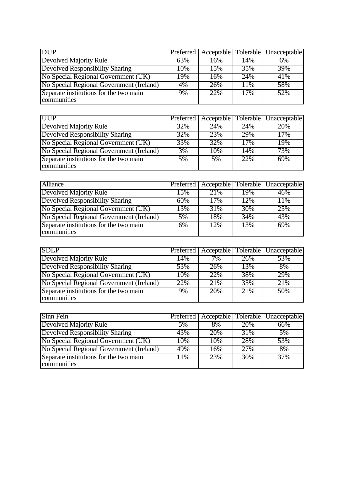| <b>DUP</b>                                            |     |     |     | Preferred   Acceptable   Tolerable   Unacceptable |
|-------------------------------------------------------|-----|-----|-----|---------------------------------------------------|
| Devolved Majority Rule                                | 63% | 16% | 14% | 6%                                                |
| <b>Devolved Responsibility Sharing</b>                | 10% | 15% | 35% | 39%                                               |
| No Special Regional Government (UK)                   | 19% | 16% | 24% | 41%                                               |
| No Special Regional Government (Ireland)              | 4%  | 26% | 11% | 58%                                               |
| Separate institutions for the two main<br>communities | 9%  | 22% | 17% | 52%                                               |

| <b>UUP</b>                                            |     |     |     | Preferred   Acceptable   Tolerable   Unacceptable |
|-------------------------------------------------------|-----|-----|-----|---------------------------------------------------|
| <b>Devolved Majority Rule</b>                         | 32% | 24% | 24% | 20%                                               |
| <b>Devolved Responsibility Sharing</b>                | 32% | 23% | 29% | 17%                                               |
| No Special Regional Government (UK)                   | 33% | 32% | 17% | 19%                                               |
| No Special Regional Government (Ireland)              | 3%  | 10% | 14% | 73%                                               |
| Separate institutions for the two main<br>communities | 5%  | 5%  | 22% | 69%                                               |

| Alliance                                              |     |     |     | Preferred   Acceptable   Tolerable   Unacceptable |
|-------------------------------------------------------|-----|-----|-----|---------------------------------------------------|
| <b>Devolved Majority Rule</b>                         | 15% | 21% | 19% | 46%                                               |
| <b>Devolved Responsibility Sharing</b>                | 60% | 17% | 12% | 11%                                               |
| No Special Regional Government (UK)                   | 13% | 31% | 30% | 25%                                               |
| No Special Regional Government (Ireland)              | 5%  | 18% | 34% | 43%                                               |
| Separate institutions for the two main<br>communities | 6%  | 12% | 13% | 69%                                               |

| <b>SDLP</b>                                           |     |       |     | Preferred   Acceptable   Tolerable   Unacceptable |
|-------------------------------------------------------|-----|-------|-----|---------------------------------------------------|
| Devolved Majority Rule                                | 14% | $7\%$ | 26% | 53%                                               |
| <b>Devolved Responsibility Sharing</b>                | 53% | 26%   | 13% | 8%                                                |
| No Special Regional Government (UK)                   | 10% | 22%   | 38% | 29%                                               |
| No Special Regional Government (Ireland)              | 22% | 21%   | 35% | 21%                                               |
| Separate institutions for the two main<br>communities | 9%  | 20%   | 21% | 50%                                               |

| Sinn Fein                                             |     |     |     | Preferred   Acceptable   Tolerable   Unacceptable |
|-------------------------------------------------------|-----|-----|-----|---------------------------------------------------|
| <b>Devolved Majority Rule</b>                         | 5%  | 8%  | 20% | 66%                                               |
| <b>Devolved Responsibility Sharing</b>                | 43% | 20% | 31% | 5%                                                |
| No Special Regional Government (UK)                   | 10% | 10% | 28% | 53%                                               |
| No Special Regional Government (Ireland)              | 49% | 16% | 27% | 8%                                                |
| Separate institutions for the two main<br>communities | 11% | 23% | 30% | 37%                                               |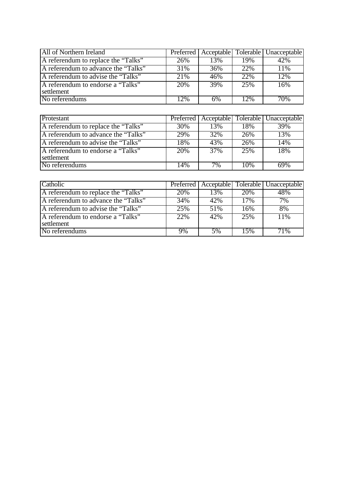| All of Northern Ireland             |     |     |     | Preferred   Acceptable   Tolerable   Unacceptable |
|-------------------------------------|-----|-----|-----|---------------------------------------------------|
| A referendum to replace the "Talks" | 26% | 13% | 19% | 42%                                               |
| A referendum to advance the "Talks" | 31% | 36% | 22% | 11%                                               |
| A referendum to advise the "Talks"  | 21% | 46% | 22% | $\overline{12}\%$                                 |
| A referendum to endorse a "Talks"   | 20% | 39% | 25% | 16%                                               |
| settlement                          |     |     |     |                                                   |
| No referendums                      | 12% | 6%  | 12% | 70%                                               |

| Protestant                          |     |                   |     | Preferred   Acceptable   Tolerable   Unacceptable |
|-------------------------------------|-----|-------------------|-----|---------------------------------------------------|
| A referendum to replace the "Talks" | 30% | 13%               | 18% | 39%                                               |
| A referendum to advance the "Talks" | 29% | $\overline{32}\%$ | 26% | 13%                                               |
| A referendum to advise the "Talks"  | 18% | 43%               | 26% | 14%                                               |
| A referendum to endorse a "Talks"   | 20% | 37%               | 25% | 18%                                               |
| settlement                          |     |                   |     |                                                   |
| No referendums                      | 14% | 7%                | 10% | 69%                                               |

| Catholic                                        |     |     |      | Preferred   Acceptable   Tolerable   Unacceptable |
|-------------------------------------------------|-----|-----|------|---------------------------------------------------|
| A referendum to replace the "Talks"             | 20% | 13% | 20\% | 48%                                               |
| A referendum to advance the "Talks"             | 34% | 42% | 17%  | 7%                                                |
| A referendum to advise the "Talks"              | 25% | 51% | 16%  | 8%                                                |
| A referendum to endorse a "Talks"<br>settlement | 22% | 42% | 25%  | 11%                                               |
| No referendums                                  | 9%  | 5%  | 15%  | 71%                                               |